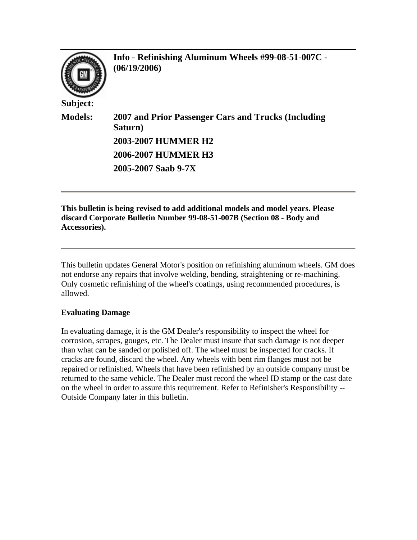

**Info - Refinishing Aluminum Wheels #99-08-51-007C - (06/19/2006)**

**Models: 2007 and Prior Passenger Cars and Trucks (Including Saturn) 2003-2007 HUMMER H2 2006-2007 HUMMER H3 2005-2007 Saab 9-7X**

**This bulletin is being revised to add additional models and model years. Please discard Corporate Bulletin Number 99-08-51-007B (Section 08 - Body and Accessories).**

This bulletin updates General Motor's position on refinishing aluminum wheels. GM does not endorse any repairs that involve welding, bending, straightening or re-machining. Only cosmetic refinishing of the wheel's coatings, using recommended procedures, is allowed.

## **Evaluating Damage**

In evaluating damage, it is the GM Dealer's responsibility to inspect the wheel for corrosion, scrapes, gouges, etc. The Dealer must insure that such damage is not deeper than what can be sanded or polished off. The wheel must be inspected for cracks. If cracks are found, discard the wheel. Any wheels with bent rim flanges must not be repaired or refinished. Wheels that have been refinished by an outside company must be returned to the same vehicle. The Dealer must record the wheel ID stamp or the cast date on the wheel in order to assure this requirement. Refer to Refinisher's Responsibility -- Outside Company later in this bulletin.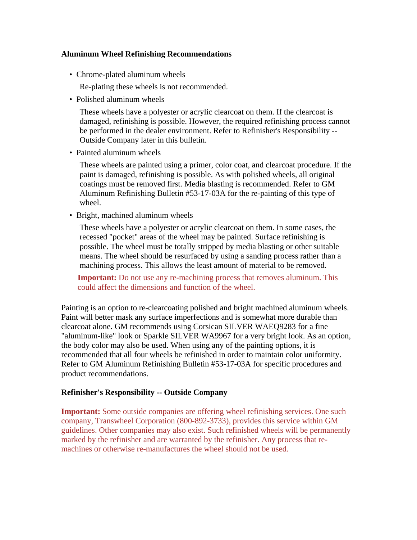## **Aluminum Wheel Refinishing Recommendations**

• Chrome-plated aluminum wheels

Re-plating these wheels is not recommended.

• Polished aluminum wheels

 These wheels have a polyester or acrylic clearcoat on them. If the clearcoat is damaged, refinishing is possible. However, the required refinishing process cannot be performed in the dealer environment. Refer to Refinisher's Responsibility -- Outside Company later in this bulletin.

• Painted aluminum wheels

 These wheels are painted using a primer, color coat, and clearcoat procedure. If the paint is damaged, refinishing is possible. As with polished wheels, all original coatings must be removed first. Media blasting is recommended. Refer to GM Aluminum Refinishing Bulletin #53-17-03A for the re-painting of this type of wheel.

• Bright, machined aluminum wheels

 These wheels have a polyester or acrylic clearcoat on them. In some cases, the recessed "pocket" areas of the wheel may be painted. Surface refinishing is possible. The wheel must be totally stripped by media blasting or other suitable means. The wheel should be resurfaced by using a sanding process rather than a machining process. This allows the least amount of material to be removed.

**Important:** Do not use any re-machining process that removes aluminum. This could affect the dimensions and function of the wheel.

Painting is an option to re-clearcoating polished and bright machined aluminum wheels. Paint will better mask any surface imperfections and is somewhat more durable than clearcoat alone. GM recommends using Corsican SILVER WAEQ9283 for a fine "aluminum-like" look or Sparkle SILVER WA9967 for a very bright look. As an option, the body color may also be used. When using any of the painting options, it is recommended that all four wheels be refinished in order to maintain color uniformity. Refer to GM Aluminum Refinishing Bulletin #53-17-03A for specific procedures and product recommendations.

## **Refinisher's Responsibility -- Outside Company**

**Important:** Some outside companies are offering wheel refinishing services. One such company, Transwheel Corporation (800-892-3733), provides this service within GM guidelines. Other companies may also exist. Such refinished wheels will be permanently marked by the refinisher and are warranted by the refinisher. Any process that remachines or otherwise re-manufactures the wheel should not be used.